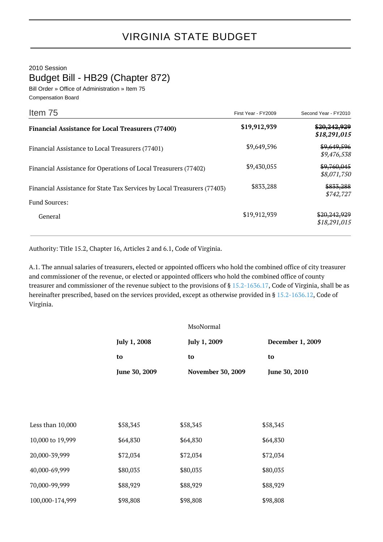2010 Session

Budget Bill - HB29 (Chapter 872)

Bill Order » Office of Administration » Item 75 Compensation Board

| Item 75                                                                 | First Year - FY2009 | Second Year - FY2010                    |
|-------------------------------------------------------------------------|---------------------|-----------------------------------------|
| <b>Financial Assistance for Local Treasurers (77400)</b>                | \$19,912,939        | <del>\$20,242,929</del><br>\$18,291,015 |
| Financial Assistance to Local Treasurers (77401)                        | \$9,649,596         | \$9,649,596<br>\$9,476,538              |
| Financial Assistance for Operations of Local Treasurers (77402)         | \$9,430,055         | \$9,760,045<br>\$8,071,750              |
| Financial Assistance for State Tax Services by Local Treasurers (77403) | \$833,288           | \$833,288<br>\$742,727                  |
| <b>Fund Sources:</b>                                                    |                     |                                         |
| General                                                                 | \$19,912,939        | \$20,242,929<br>\$18,291,015            |

Authority: Title 15.2, Chapter 16, Articles 2 and 6.1, Code of Virginia.

A.1. The annual salaries of treasurers, elected or appointed officers who hold the combined office of city treasurer and commissioner of the revenue, or elected or appointed officers who hold the combined office of county treasurer and commissioner of the revenue subject to the provisions of § [15.2-1636.17](http://law.lis.virginia.gov/vacode/15.2-1636.17/), Code of Virginia, shall be as hereinafter prescribed, based on the services provided, except as otherwise provided in § [15.2-1636.12,](http://law.lis.virginia.gov/vacode/15.2-1636.12/) Code of Virginia.

|                  |               | MsoNormal                |                  |
|------------------|---------------|--------------------------|------------------|
|                  | July 1, 2008  | July 1, 2009             | December 1, 2009 |
|                  | to            | to                       | to               |
|                  | June 30, 2009 | <b>November 30, 2009</b> | June 30, 2010    |
|                  |               |                          |                  |
|                  |               |                          |                  |
| Less than 10,000 | \$58,345      | \$58,345                 | \$58,345         |
| 10,000 to 19,999 | \$64,830      | \$64,830                 | \$64,830         |
| 20,000-39,999    | \$72,034      | \$72,034                 | \$72,034         |
| 40,000-69,999    | \$80,035      | \$80,035                 | \$80,035         |
| 70,000-99,999    | \$88,929      | \$88,929                 | \$88,929         |
| 100,000-174,999  | \$98,808      | \$98,808                 | \$98,808         |